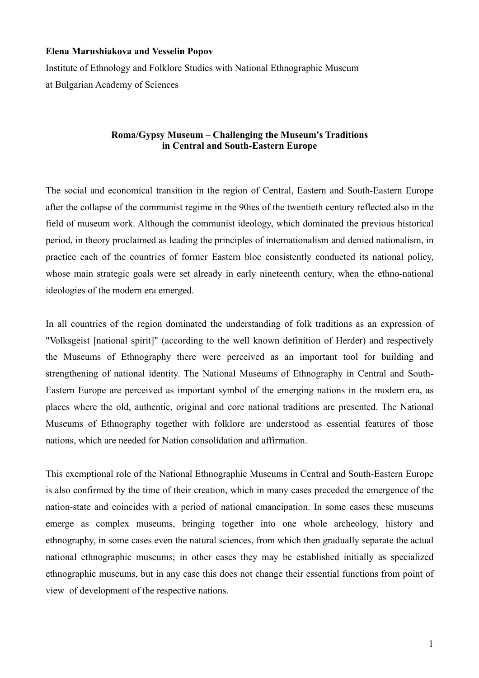## **Elena Marushiakova and Vesselin Popov**

Institute of Ethnology and Folklore Studies with National Ethnographic Museum at Bulgarian Academy of Sciences

## **Roma/Gypsy Museum – Challenging the Museum's Traditions in Central and South-Eastern Europe**

The social and economical transition in the region of Central, Eastern and South-Eastern Europe after the collapse of the communist regime in the 90ies of the twentieth century reflected also in the field of museum work. Although the communist ideology, which dominated the previous historical period, in theory proclaimed as leading the principles of internationalism and denied nationalism, in practice each of the countries of former Eastern bloc consistently conducted its national policy, whose main strategic goals were set already in early nineteenth century, when the ethno-national ideologies of the modern era emerged.

In all countries of the region dominated the understanding of folk traditions as an expression of "Volksgeist [national spirit]" (according to the well known definition of Herder) and respectively the Museums of Ethnography there were perceived as an important tool for building and strengthening of national identity. The National Museums of Ethnography in Central and South-Eastern Europe are perceived as important symbol of the emerging nations in the modern era, as places where the old, authentic, original and core national traditions are presented. The National Museums of Ethnography together with folklore are understood as essential features of those nations, which are needed for Nation consolidation and affirmation.

This exemptional role of the National Ethnographic Museums in Central and South-Eastern Europe is also confirmed by the time of their creation, which in many cases preceded the emergence of the nation-state and coincides with a period of national emancipation. In some cases these museums emerge as complex museums, bringing together into one whole archeology, history and ethnography, in some cases even the natural sciences, from which then gradually separate the actual national ethnographic museums; in other cases they may be established initially as specialized ethnographic museums, but in any case this does not change their essential functions from point of view of development of the respective nations.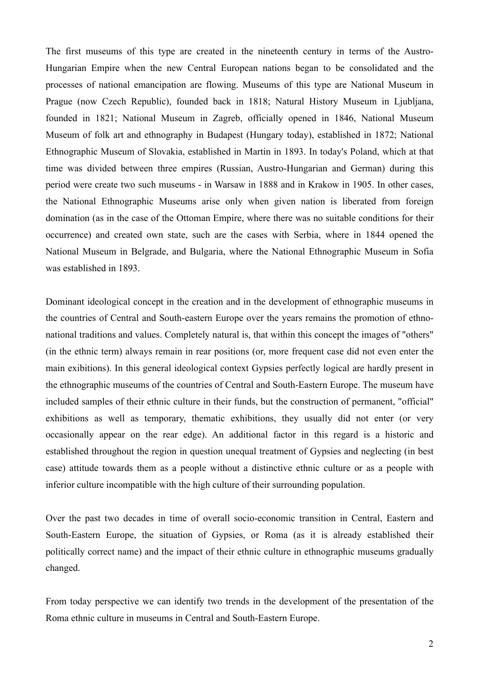The first museums of this type are created in the nineteenth century in terms of the Austro-Hungarian Empire when the new Central European nations began to be consolidated and the processes of national emancipation are flowing. Museums of this type are National Museum in Prague (now Czech Republic), founded back in 1818; Natural History Museum in Ljubljana, founded in 1821; National Museum in Zagreb, officially opened in 1846, National Museum Museum of folk art and ethnography in Budapest (Hungary today), established in 1872; National Ethnographic Museum of Slovakia, established in Martin in 1893. In today's Poland, which at that time was divided between three empires (Russian, Austro-Hungarian and German) during this period were create two such museums - in Warsaw in 1888 and in Krakow in 1905. In other cases, the National Ethnographic Museums arise only when given nation is liberated from foreign domination (as in the case of the Ottoman Empire, where there was no suitable conditions for their occurrence) and created own state, such are the cases with Serbia, where in 1844 opened the National Museum in Belgrade, and Bulgaria, where the National Ethnographic Museum in Sofia was established in 1893.

Dominant ideological concept in the creation and in the development of ethnographic museums in the countries of Central and South-eastern Europe over the years remains the promotion of ethnonational traditions and values. Completely natural is, that within this concept the images of "others" (in the ethnic term) always remain in rear positions (or, more frequent case did not even enter the main exibitions). In this general ideological context Gypsies perfectly logical are hardly present in the ethnographic museums of the countries of Central and South-Eastern Europe. The museum have included samples of their ethnic culture in their funds, but the construction of permanent, "official" exhibitions as well as temporary, thematic exhibitions, they usually did not enter (or very occasionally appear on the rear edge). An additional factor in this regard is a historic and established throughout the region in question unequal treatment of Gypsies and neglecting (in best case) attitude towards them as a people without a distinctive ethnic culture or as a people with inferior culture incompatible with the high culture of their surrounding population.

Over the past two decades in time of overall socio-economic transition in Central, Eastern and South-Eastern Europe, the situation of Gypsies, or Roma (as it is already established their politically correct name) and the impact of their ethnic culture in ethnographic museums gradually changed.

From today perspective we can identify two trends in the development of the presentation of the Roma ethnic culture in museums in Central and South-Eastern Europe.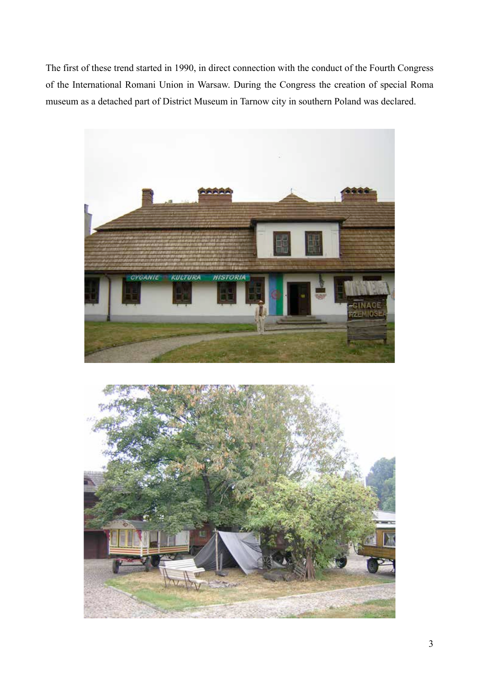The first of these trend started in 1990, in direct connection with the conduct of the Fourth Congress of the International Romani Union in Warsaw. During the Congress the creation of special Roma museum as a detached part of District Museum in Tarnow city in southern Poland was declared.



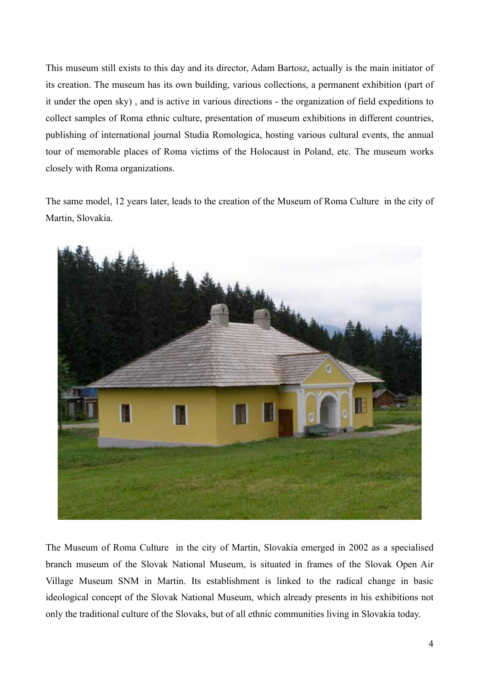This museum still exists to this day and its director, Adam Bartosz, actually is the main initiator of its creation. The museum has its own building, various collections, a permanent exhibition (part of it under the open sky) , and is active in various directions - the organization of field expeditions to collect samples of Roma ethnic culture, presentation of museum exhibitions in different countries, publishing of international journal Studia Romologica, hosting various cultural events, the annual tour of memorable places of Roma victims of the Holocaust in Poland, etc. The museum works closely with Roma organizations.

The same model, 12 years later, leads to the creation of the Museum of Roma Culture in the city of Martin, Slovakia.



The Museum of Roma Culture in the city of Martin, Slovakia emerged in 2002 as a specialised branch museum of the Slovak National Museum, is situated in frames of the Slovak Open Air Village Museum SNM in Martin. Its establishment is linked to the radical change in basic ideological concept of the Slovak National Museum, which already presents in his exhibitions not only the traditional culture of the Slovaks, but of all ethnic communities living in Slovakia today.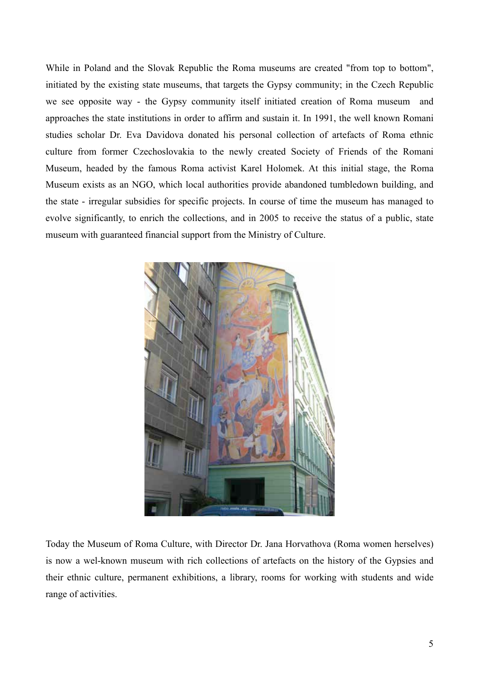While in Poland and the Slovak Republic the Roma museums are created "from top to bottom", initiated by the existing state museums, that targets the Gypsy community; in the Czech Republic we see opposite way - the Gypsy community itself initiated creation of Roma museum and approaches the state institutions in order to affirm and sustain it. In 1991, the well known Romani studies scholar Dr. Eva Davidova donated his personal collection of artefacts of Roma ethnic culture from former Czechoslovakia to the newly created Society of Friends of the Romani Museum, headed by the famous Roma activist Karel Holomek. At this initial stage, the Roma Museum exists as an NGO, which local authorities provide abandoned tumbledown building, and the state - irregular subsidies for specific projects. In course of time the museum has managed to evolve significantly, to enrich the collections, and in 2005 to receive the status of a public, state museum with guaranteed financial support from the Ministry of Culture.



Today the Museum of Roma Culture, with Director Dr. Jana Horvathova (Roma women herselves) is now a wel-known museum with rich collections of artefacts on the history of the Gypsies and their ethnic culture, permanent exhibitions, a library, rooms for working with students and wide range of activities.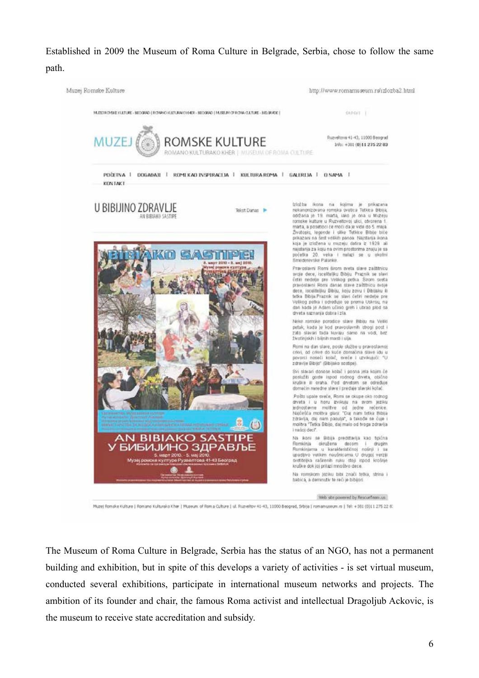Established in 2009 the Museum of Roma Culture in Belgrade, Serbia, chose to follow the same path.



Muzel Romske Kulture | Romano Kulturako Khar | Museum of Roma Culture | ul. Rugveltov 41-43, 11000 Beograd, Srbisa | romanuseum rs | Tel: +381 (0)11 275 22 8:

The Museum of Roma Culture in Belgrade, Serbia has the status of an NGO, has not a permanent building and exhibition, but in spite of this develops a variety of activities - is set virtual museum, conducted several exhibitions, participate in international museum networks and projects. The ambition of its founder and chair, the famous Roma activist and intellectual Dragoljub Ackovic, is the museum to receive state accreditation and subsidy.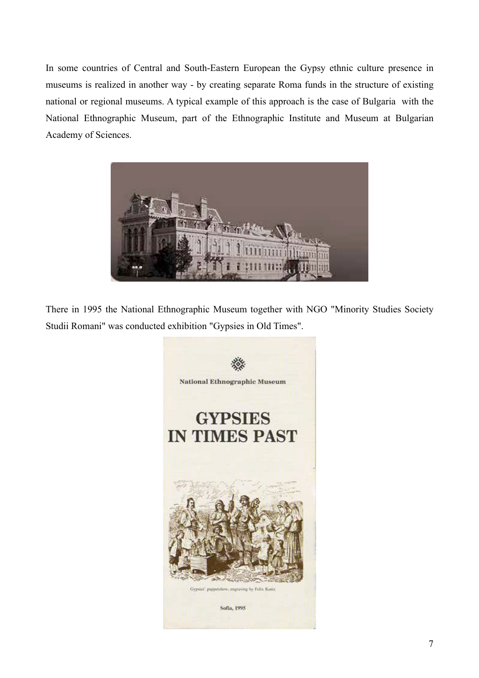In some countries of Central and South-Eastern European the Gypsy ethnic culture presence in museums is realized in another way - by creating separate Roma funds in the structure of existing national or regional museums. A typical example of this approach is the case of Bulgaria with the National Ethnographic Museum, part of the Ethnographic Institute and Museum at Bulgarian Academy of Sciences.



There in 1995 the National Ethnographic Museum together with NGO "Minority Studies Society Studii Romani" was conducted exhibition "Gypsies in Old Times".

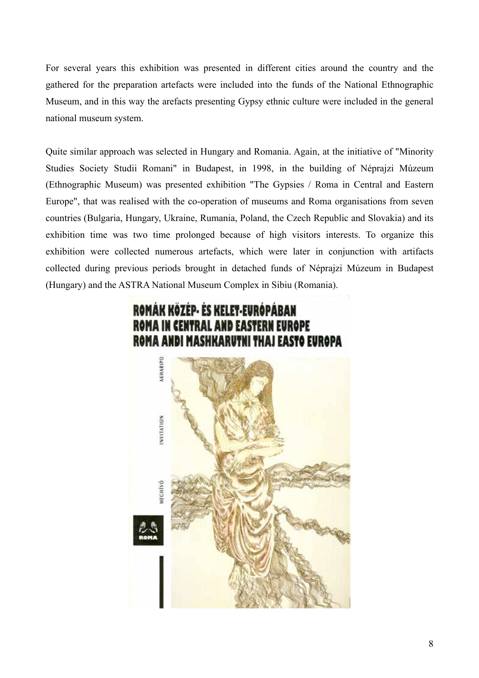For several years this exhibition was presented in different cities around the country and the gathered for the preparation artefacts were included into the funds of the National Ethnographic Museum, and in this way the arefacts presenting Gypsy ethnic culture were included in the general national museum system.

Quite similar approach was selected in Hungary and Romania. Again, at the initiative of "Minority Studies Society Studii Romani" in Budapest, in 1998, in the building of Néprajzi Múzeum (Ethnographic Museum) was presented exhibition "The Gypsies / Roma in Central and Eastern Europe", that was realised with the co-operation of museums and Roma organisations from seven countries (Bulgaria, Hungary, Ukraine, Rumania, Poland, the Czech Republic and Slovakia) and its exhibition time was two time prolonged because of high visitors interests. To organize this exhibition were collected numerous artefacts, which were later in conjunction with artifacts collected during previous periods brought in detached funds of Néprajzi Múzeum in Budapest (Hungary) and the ASTRA National Museum Complex in Sibiu (Romania).

## ROMÁK KÖZÉP- ÉS KELET-EURÓPÁBAN ROMA IN CENTRAL AND EASTERN EUROPE **ROMA ANDI MASHKARUTNI THAJ EASTO EUROPA**

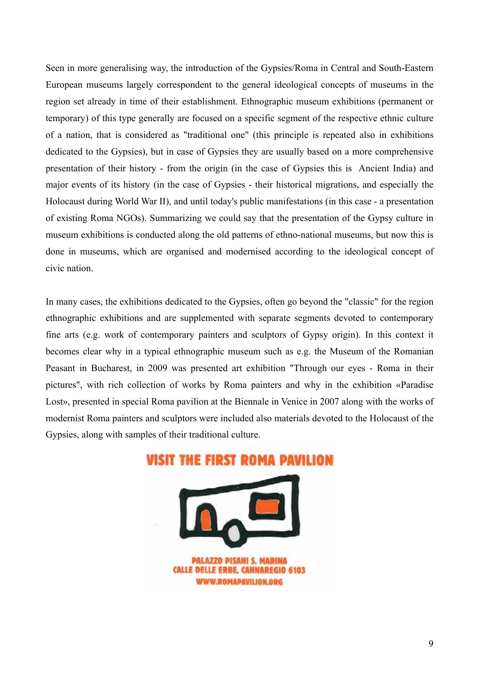Seen in more generalising way, the introduction of the Gypsies/Roma in Central and South-Eastern European museums largely correspondent to the general ideological concepts of museums in the region set already in time of their establishment. Ethnographic museum exhibitions (permanent or temporary) of this type generally are focused on a specific segment of the respective ethnic culture of a nation, that is considered as "traditional one" (this principle is repeated also in exhibitions dedicated to the Gypsies), but in case of Gypsies they are usually based on a more comprehensive presentation of their history - from the origin (in the case of Gypsies this is Ancient India) and major events of its history (in the case of Gypsies - their historical migrations, and especially the Holocaust during World War II), and until today's public manifestations (in this case - a presentation of existing Roma NGOs). Summarizing we could say that the presentation of the Gypsy culture in museum exhibitions is conducted along the old patterns of ethno-national museums, but now this is done in museums, which are organised and modernised according to the ideological concept of civic nation.

In many cases, the exhibitions dedicated to the Gypsies, often go beyond the "classic" for the region ethnographic exhibitions and are supplemented with separate segments devoted to contemporary fine arts (e.g. work of contemporary painters and sculptors of Gypsy origin). In this context it becomes clear why in a typical ethnographic museum such as e.g. the Museum of the Romanian Peasant in Bucharest, in 2009 was presented art exhibition "Through our eyes - Roma in their pictures", with rich collection of works by Roma painters and why in the exhibition «Paradise Lost», presented in special Roma pavilion at the Biennale in Venice in 2007 along with the works of modernist Roma painters and sculptors were included also materials devoted to the Holocaust of the Gypsies, along with samples of their traditional culture.

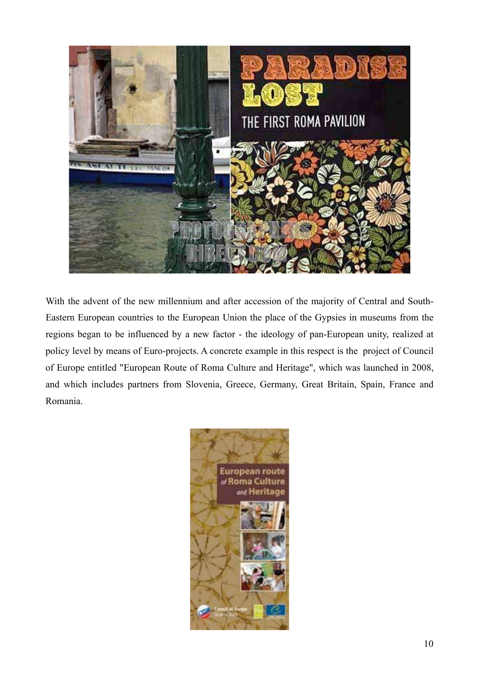

With the advent of the new millennium and after accession of the majority of Central and South-Eastern European countries to the European Union the place of the Gypsies in museums from the regions began to be influenced by a new factor - the ideology of pan-European unity, realized at policy level by means of Euro-projects. A concrete example in this respect is the project of Council of Europe entitled "European Route of Roma Culture and Heritage", which was launched in 2008, and which includes partners from Slovenia, Greece, Germany, Great Britain, Spain, France and Romania.

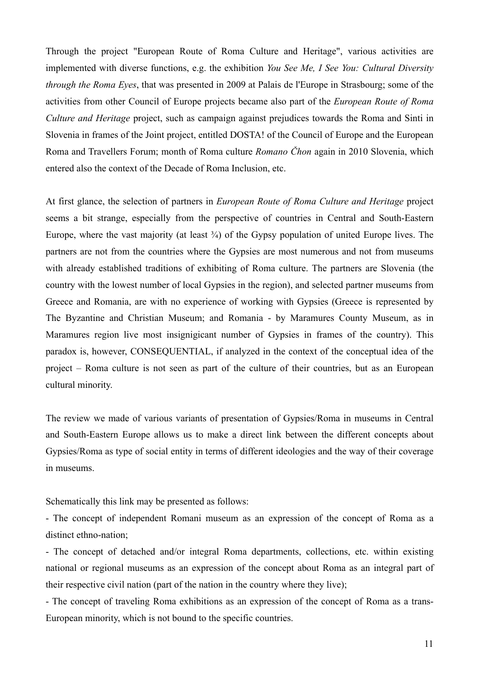Through the project "European Route of Roma Culture and Heritage", various activities are implemented with diverse functions, e.g. the exhibition *You See Me, I See You: Cultural Diversity through the Roma Eyes*, that was presented in 2009 at Palais de l'Europe in Strasbourg; some of the activities from other Council of Europe projects became also part of the *European Route of Roma Culture and Heritage* project, such as campaign against prejudices towards the Roma and Sinti in Slovenia in frames of the Joint project, entitled DOSTA! of the Council of Europe and the European Roma and Travellers Forum; month of Roma culture *Romano Čhon* again in 2010 Slovenia, which entered also the context of the Decade of Roma Inclusion, etc.

At first glance, the selection of partners in *European Route of Roma Culture and Heritage* project seems a bit strange, especially from the perspective of countries in Central and South-Eastern Europe, where the vast majority (at least  $\frac{3}{4}$ ) of the Gypsy population of united Europe lives. The partners are not from the countries where the Gypsies are most numerous and not from museums with already established traditions of exhibiting of Roma culture. The partners are Slovenia (the country with the lowest number of local Gypsies in the region), and selected partner museums from Greece and Romania, are with no experience of working with Gypsies (Greece is represented by The Byzantine and Christian Museum; and Romania - by Maramures County Museum, as in Maramures region live most insignigicant number of Gypsies in frames of the country). This paradox is, however, CONSEQUENTIAL, if analyzed in the context of the conceptual idea of the project – Roma culture is not seen as part of the culture of their countries, but as an European cultural minority.

The review we made of various variants of presentation of Gypsies/Roma in museums in Central and South-Eastern Europe allows us to make a direct link between the different concepts about Gypsies/Roma as type of social entity in terms of different ideologies and the way of their coverage in museums.

Schematically this link may be presented as follows:

- The concept of independent Romani museum as an expression of the concept of Roma as a distinct ethno-nation;

- The concept of detached and/or integral Roma departments, collections, etc. within existing national or regional museums as an expression of the concept about Roma as an integral part of their respective civil nation (part of the nation in the country where they live);

- The concept of traveling Roma exhibitions as an expression of the concept of Roma as a trans-European minority, which is not bound to the specific countries.